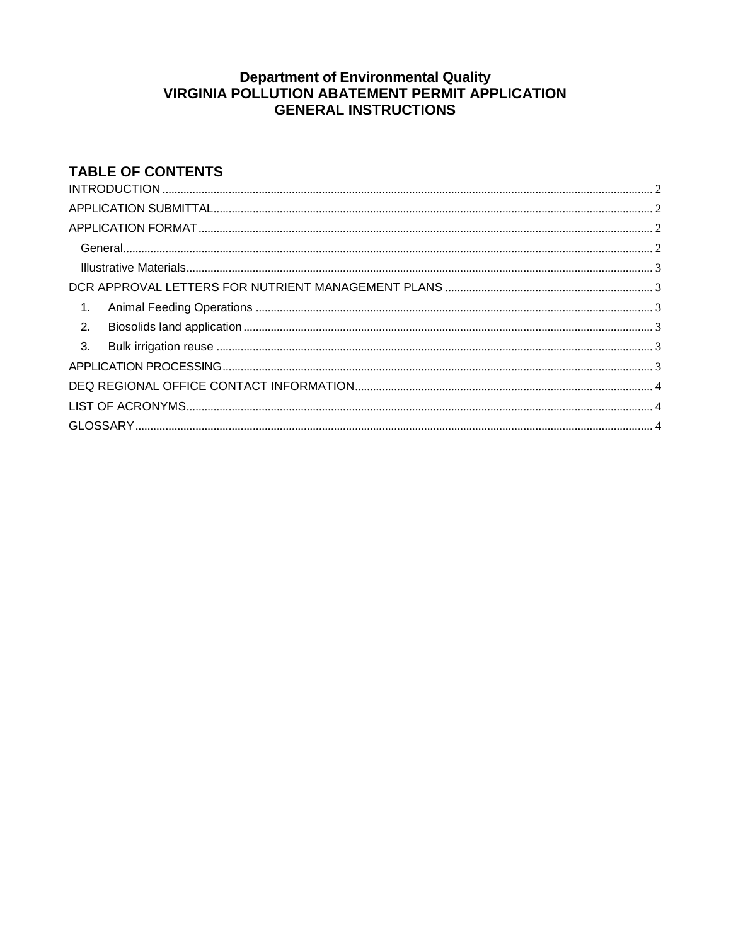# Department of Environmental Quality<br>VIRGINIA POLLUTION ABATEMENT PERMIT APPLICATION **GENERAL INSTRUCTIONS**

# **TABLE OF CONTENTS**

 $\cdots$   $\cdots$   $\cdots$ 

| $\mathbf{1}$ .   |  |  |  |  |
|------------------|--|--|--|--|
| $\overline{2}$ . |  |  |  |  |
|                  |  |  |  |  |
|                  |  |  |  |  |
|                  |  |  |  |  |
|                  |  |  |  |  |
|                  |  |  |  |  |
|                  |  |  |  |  |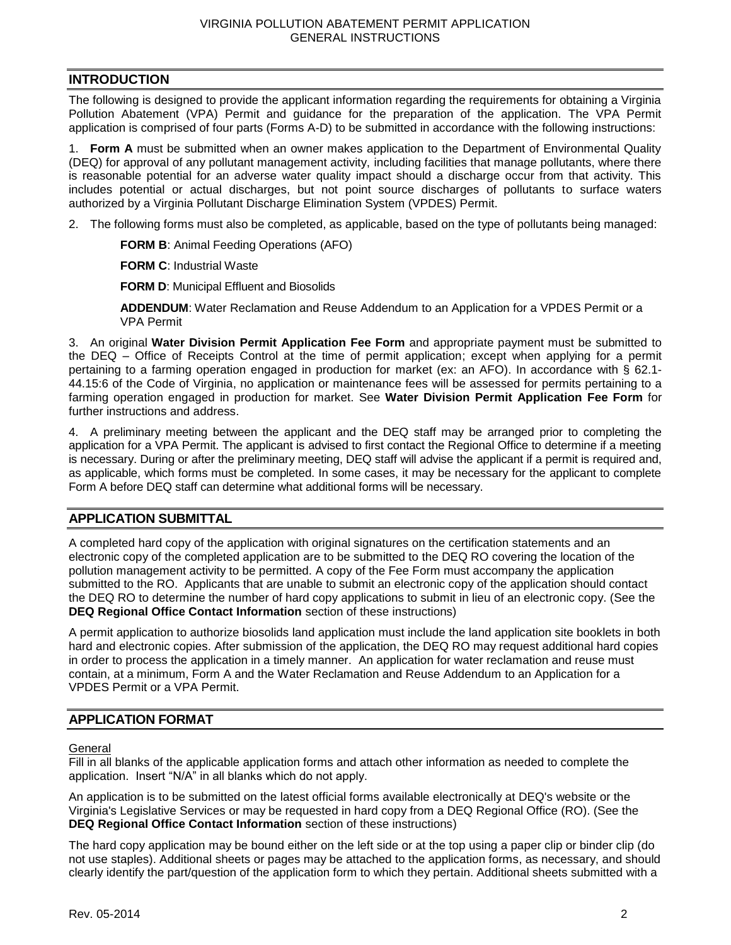# <span id="page-1-0"></span>**INTRODUCTION**

The following is designed to provide the applicant information regarding the requirements for obtaining a Virginia Pollution Abatement (VPA) Permit and guidance for the preparation of the application. The VPA Permit application is comprised of four parts (Forms A-D) to be submitted in accordance with the following instructions:

1. **Form A** must be submitted when an owner makes application to the Department of Environmental Quality (DEQ) for approval of any pollutant management activity, including facilities that manage pollutants, where there is reasonable potential for an adverse water quality impact should a discharge occur from that activity. This includes potential or actual discharges, but not point source discharges of pollutants to surface waters authorized by a Virginia Pollutant Discharge Elimination System (VPDES) Permit.

2. The following forms must also be completed, as applicable, based on the type of pollutants being managed:

**FORM B**: Animal Feeding Operations (AFO)

**FORM C**: Industrial Waste

**FORM D:** Municipal Effluent and Biosolids

**ADDENDUM**: Water Reclamation and Reuse Addendum to an Application for a VPDES Permit or a VPA Permit

3. An original **Water Division Permit Application Fee Form** and appropriate payment must be submitted to the DEQ – Office of Receipts Control at the time of permit application; except when applying for a permit pertaining to a farming operation engaged in production for market (ex: an AFO). In accordance with § 62.1- 44.15:6 of the Code of Virginia, no application or maintenance fees will be assessed for permits pertaining to a farming operation engaged in production for market. See **Water Division Permit Application Fee Form** for further instructions and address.

4. A preliminary meeting between the applicant and the DEQ staff may be arranged prior to completing the application for a VPA Permit. The applicant is advised to first contact the Regional Office to determine if a meeting is necessary. During or after the preliminary meeting, DEQ staff will advise the applicant if a permit is required and, as applicable, which forms must be completed. In some cases, it may be necessary for the applicant to complete Form A before DEQ staff can determine what additional forms will be necessary.

#### <span id="page-1-1"></span>**APPLICATION SUBMITTAL**

A completed hard copy of the application with original signatures on the certification statements and an electronic copy of the completed application are to be submitted to the DEQ RO covering the location of the pollution management activity to be permitted. A copy of the Fee Form must accompany the application submitted to the RO. Applicants that are unable to submit an electronic copy of the application should contact the DEQ RO to determine the number of hard copy applications to submit in lieu of an electronic copy. (See the **DEQ Regional Office Contact Information** section of these instructions)

A permit application to authorize biosolids land application must include the land application site booklets in both hard and electronic copies. After submission of the application, the DEQ RO may request additional hard copies in order to process the application in a timely manner. An application for water reclamation and reuse must contain, at a minimum, Form A and the Water Reclamation and Reuse Addendum to an Application for a VPDES Permit or a VPA Permit.

### <span id="page-1-2"></span>**APPLICATION FORMAT**

<span id="page-1-3"></span>**General** 

Fill in all blanks of the applicable application forms and attach other information as needed to complete the application. Insert "N/A" in all blanks which do not apply.

An application is to be submitted on the latest official forms available electronically at DEQ's website or the Virginia's Legislative Services or may be requested in hard copy from a DEQ Regional Office (RO). (See the **DEQ Regional Office Contact Information** section of these instructions)

The hard copy application may be bound either on the left side or at the top using a paper clip or binder clip (do not use staples). Additional sheets or pages may be attached to the application forms, as necessary, and should clearly identify the part/question of the application form to which they pertain. Additional sheets submitted with a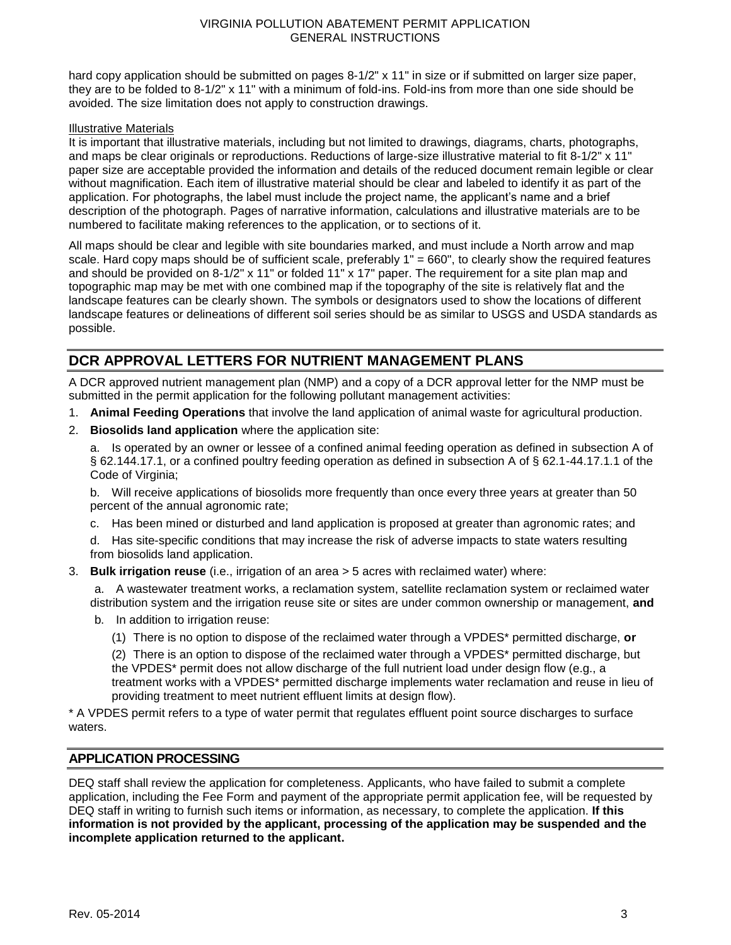hard copy application should be submitted on pages 8-1/2" x 11" in size or if submitted on larger size paper, they are to be folded to 8-1/2" x 11" with a minimum of fold-ins. Fold-ins from more than one side should be avoided. The size limitation does not apply to construction drawings.

#### <span id="page-2-0"></span>Illustrative Materials

It is important that illustrative materials, including but not limited to drawings, diagrams, charts, photographs, and maps be clear originals or reproductions. Reductions of large-size illustrative material to fit 8-1/2" x 11" paper size are acceptable provided the information and details of the reduced document remain legible or clear without magnification. Each item of illustrative material should be clear and labeled to identify it as part of the application. For photographs, the label must include the project name, the applicant's name and a brief description of the photograph. Pages of narrative information, calculations and illustrative materials are to be numbered to facilitate making references to the application, or to sections of it.

All maps should be clear and legible with site boundaries marked, and must include a North arrow and map scale. Hard copy maps should be of sufficient scale, preferably 1" = 660", to clearly show the required features and should be provided on 8-1/2" x 11" or folded 11" x 17" paper. The requirement for a site plan map and topographic map may be met with one combined map if the topography of the site is relatively flat and the landscape features can be clearly shown. The symbols or designators used to show the locations of different landscape features or delineations of different soil series should be as similar to USGS and USDA standards as possible.

# <span id="page-2-1"></span>**DCR APPROVAL LETTERS FOR NUTRIENT MANAGEMENT PLANS**

A DCR approved nutrient management plan (NMP) and a copy of a DCR approval letter for the NMP must be submitted in the permit application for the following pollutant management activities:

- <span id="page-2-2"></span>1. **Animal Feeding Operations** that involve the land application of animal waste for agricultural production.
- <span id="page-2-3"></span>2. **Biosolids land application** where the application site:

a. Is operated by an owner or lessee of a confined animal feeding operation as defined in subsection A of § 62.144.17.1, or a confined poultry feeding operation as defined in subsection A of § 62.1-44.17.1.1 of the Code of Virginia;

b. Will receive applications of biosolids more frequently than once every three years at greater than 50 percent of the annual agronomic rate;

c. Has been mined or disturbed and land application is proposed at greater than agronomic rates; and

d. Has site-specific conditions that may increase the risk of adverse impacts to state waters resulting from biosolids land application.

<span id="page-2-4"></span>3. **Bulk irrigation reuse** (i.e., irrigation of an area > 5 acres with reclaimed water) where:

a. A wastewater treatment works, a reclamation system, satellite reclamation system or reclaimed water distribution system and the irrigation reuse site or sites are under common ownership or management, **and**

- b. In addition to irrigation reuse:
	- (1) There is no option to dispose of the reclaimed water through a VPDES\* permitted discharge, **or**

(2) There is an option to dispose of the reclaimed water through a VPDES\* permitted discharge, but the VPDES\* permit does not allow discharge of the full nutrient load under design flow (e.g., a treatment works with a VPDES\* permitted discharge implements water reclamation and reuse in lieu of providing treatment to meet nutrient effluent limits at design flow).

\* A VPDES permit refers to a type of water permit that regulates effluent point source discharges to surface waters.

#### <span id="page-2-5"></span>**APPLICATION PROCESSING**

DEQ staff shall review the application for completeness. Applicants, who have failed to submit a complete application, including the Fee Form and payment of the appropriate permit application fee, will be requested by DEQ staff in writing to furnish such items or information, as necessary, to complete the application. **If this information is not provided by the applicant, processing of the application may be suspended and the incomplete application returned to the applicant.**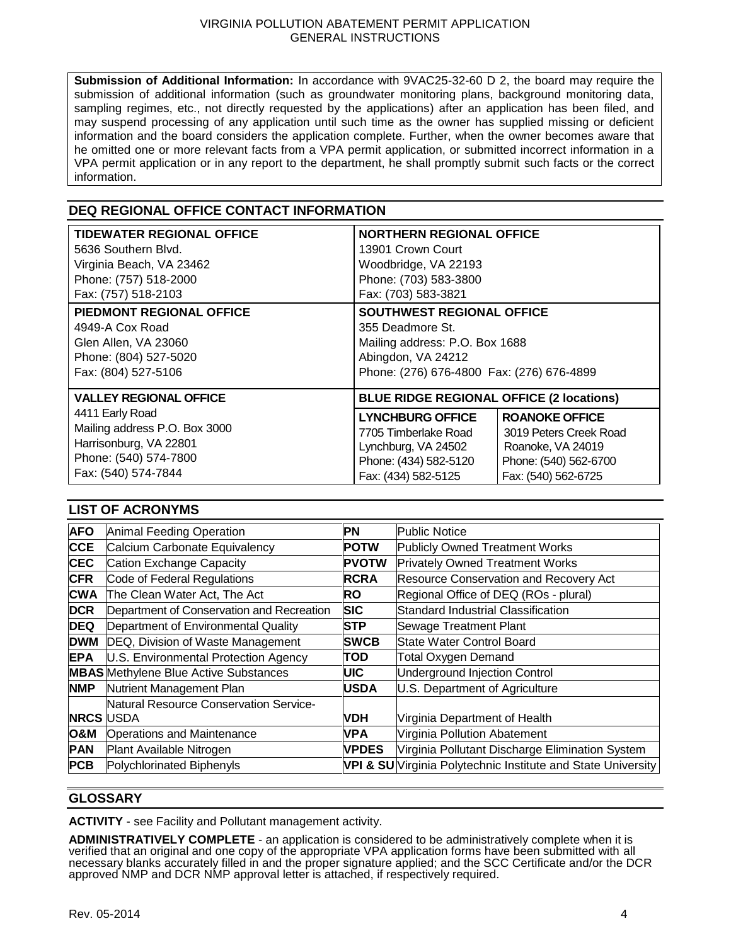**Submission of Additional Information:** In accordance with 9VAC25-32-60 D 2, the board may require the submission of additional information (such as groundwater monitoring plans, background monitoring data, sampling regimes, etc., not directly requested by the applications) after an application has been filed, and may suspend processing of any application until such time as the owner has supplied missing or deficient information and the board considers the application complete. Further, when the owner becomes aware that he omitted one or more relevant facts from a VPA permit application, or submitted incorrect information in a VPA permit application or in any report to the department, he shall promptly submit such facts or the correct information.

# <span id="page-3-0"></span>**DEQ REGIONAL OFFICE CONTACT INFORMATION**

| <b>TIDEWATER REGIONAL OFFICE</b> | <b>NORTHERN REGIONAL OFFICE</b>                 |                        |  |
|----------------------------------|-------------------------------------------------|------------------------|--|
| 5636 Southern Blvd.              | 13901 Crown Court                               |                        |  |
| Virginia Beach, VA 23462         | Woodbridge, VA 22193                            |                        |  |
| Phone: (757) 518-2000            | Phone: (703) 583-3800                           |                        |  |
| Fax: (757) 518-2103              | Fax: (703) 583-3821                             |                        |  |
| PIEDMONT REGIONAL OFFICE         | SOUTHWEST REGIONAL OFFICE                       |                        |  |
| 4949-A Cox Road                  | 355 Deadmore St.                                |                        |  |
| Glen Allen, VA 23060             | Mailing address: P.O. Box 1688                  |                        |  |
| Phone: (804) 527-5020            | Abingdon, VA 24212                              |                        |  |
| Fax: (804) 527-5106              | Phone: (276) 676-4800 Fax: (276) 676-4899       |                        |  |
| <b>VALLEY REGIONAL OFFICE</b>    | <b>BLUE RIDGE REGIONAL OFFICE (2 locations)</b> |                        |  |
| 4411 Early Road                  | <b>LYNCHBURG OFFICE</b>                         | <b>ROANOKE OFFICE</b>  |  |
| Mailing address P.O. Box 3000    | 7705 Timberlake Road                            | 3019 Peters Creek Road |  |
| Harrisonburg, VA 22801           | Lynchburg, VA 24502                             | Roanoke, VA 24019      |  |
| Phone: (540) 574-7800            | Phone: (434) 582-5120                           | Phone: (540) 562-6700  |  |
| Fax: (540) 574-7844              | Fax: (434) 582-5125                             | Fax: (540) 562-6725    |  |

#### <span id="page-3-1"></span>**LIST OF ACRONYMS**

| <b>AFO</b>       | Animal Feeding Operation                     | PN           | <b>Public Notice</b>                                         |
|------------------|----------------------------------------------|--------------|--------------------------------------------------------------|
| <b>CCE</b>       | Calcium Carbonate Equivalency                | <b>POTW</b>  | Publicly Owned Treatment Works                               |
| <b>CEC</b>       | Cation Exchange Capacity                     | <b>PVOTW</b> | <b>Privately Owned Treatment Works</b>                       |
| <b>CFR</b>       | Code of Federal Regulations                  | RCRA         | <b>Resource Conservation and Recovery Act</b>                |
| <b>CWA</b>       | The Clean Water Act, The Act                 | <b>RO</b>    | Regional Office of DEQ (ROs - plural)                        |
| <b>DCR</b>       | Department of Conservation and Recreation    | <b>SIC</b>   | Standard Industrial Classification                           |
| <b>DEQ</b>       | Department of Environmental Quality          | <b>STP</b>   | Sewage Treatment Plant                                       |
| <b>DWM</b>       | DEQ, Division of Waste Management            | <b>SWCB</b>  | State Water Control Board                                    |
| <b>EPA</b>       | U.S. Environmental Protection Agency         | TOD          | <b>Total Oxygen Demand</b>                                   |
|                  | <b>MBAS</b> Methylene Blue Active Substances | <b>UIC</b>   | Underground Injection Control                                |
| <b>NMP</b>       | Nutrient Management Plan                     | <b>USDA</b>  | U.S. Department of Agriculture                               |
|                  | Natural Resource Conservation Service-       |              |                                                              |
| <b>NRCS USDA</b> |                                              | <b>VDH</b>   | Virginia Department of Health                                |
| <b>O&amp;M</b>   | <b>Operations and Maintenance</b>            | <b>VPA</b>   | Virginia Pollution Abatement                                 |
| <b>PAN</b>       | Plant Available Nitrogen                     | <b>VPDES</b> | Virginia Pollutant Discharge Elimination System              |
| <b>PCB</b>       | Polychlorinated Biphenyls                    |              | VPI & SU Virginia Polytechnic Institute and State University |

#### <span id="page-3-2"></span>**GLOSSARY**

**ACTIVITY** - see Facility and Pollutant management activity.

**ADMINISTRATIVELY COMPLETE** - an application is considered to be administratively complete when it is verified that an original and one copy of the appropriate VPA application forms have been submitted with all necessary blanks accurately filled in and the proper signature applied; and the SCC Certificate and/or the DCR approved NMP and DCR NMP approval letter is attached, if respectively required.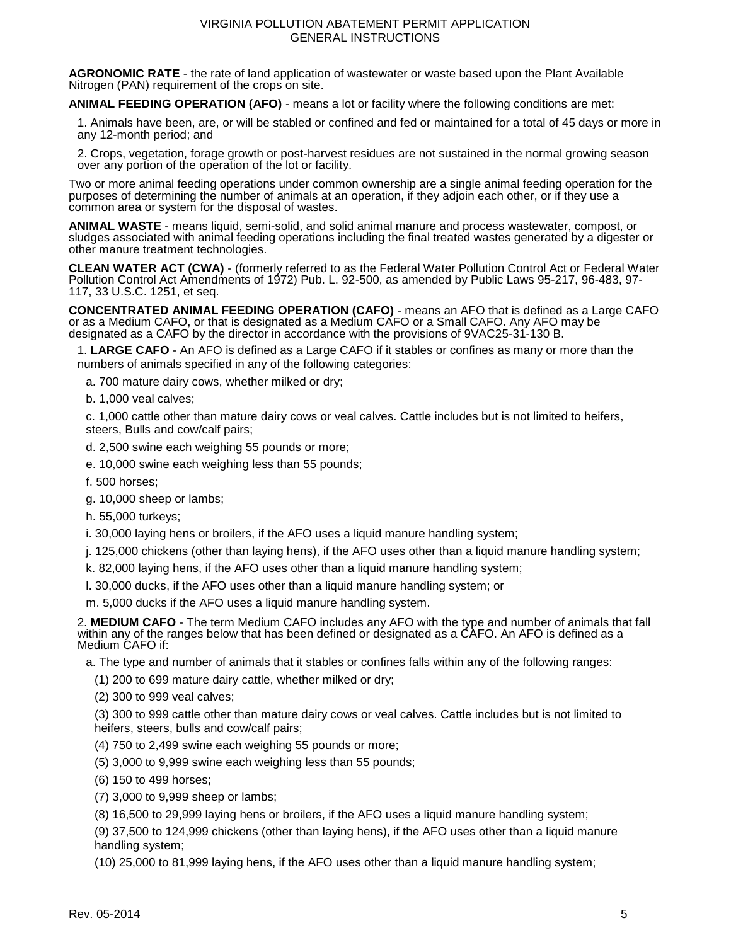**AGRONOMIC RATE** - the rate of land application of wastewater or waste based upon the Plant Available Nitrogen (PAN) requirement of the crops on site.

**ANIMAL FEEDING OPERATION (AFO)** - means a lot or facility where the following conditions are met:

1. Animals have been, are, or will be stabled or confined and fed or maintained for a total of 45 days or more in any 12-month period; and

2. Crops, vegetation, forage growth or post-harvest residues are not sustained in the normal growing season over any portion of the operation of the lot or facility.

Two or more animal feeding operations under common ownership are a single animal feeding operation for the purposes of determining the number of animals at an operation, if they adjoin each other, or if they use a common area or system for the disposal of wastes.

**ANIMAL WASTE** - means liquid, semi-solid, and solid animal manure and process wastewater, compost, or sludges associated with animal feeding operations including the final treated wastes generated by a digester or other manure treatment technologies.

**CLEAN WATER ACT (CWA)** - (formerly referred to as the Federal Water Pollution Control Act or Federal Water Pollution Control Act Amendments of 1972) Pub. L. 92-500, as amended by Public Laws 95-217, 96-483, 97- 117, 33 U.S.C. 1251, et seq.

**CONCENTRATED ANIMAL FEEDING OPERATION (CAFO)** - means an AFO that is defined as a Large CAFO or as a Medium CAFO, or that is designated as a Medium CAFO or a Small CAFO. Any AFO may be designated as a CAFO by the director in accordance with the provisions of 9VAC25-31-130 B.

1. **LARGE CAFO** - An AFO is defined as a Large CAFO if it stables or confines as many or more than the numbers of animals specified in any of the following categories:

a. 700 mature dairy cows, whether milked or dry;

b. 1,000 veal calves;

c. 1,000 cattle other than mature dairy cows or veal calves. Cattle includes but is not limited to heifers, steers, Bulls and cow/calf pairs;

- d. 2,500 swine each weighing 55 pounds or more;
- e. 10,000 swine each weighing less than 55 pounds;
- f. 500 horses;

g. 10,000 sheep or lambs;

h. 55,000 turkeys;

i. 30,000 laying hens or broilers, if the AFO uses a liquid manure handling system;

j. 125,000 chickens (other than laying hens), if the AFO uses other than a liquid manure handling system;

k. 82,000 laying hens, if the AFO uses other than a liquid manure handling system;

l. 30,000 ducks, if the AFO uses other than a liquid manure handling system; or

m. 5,000 ducks if the AFO uses a liquid manure handling system.

2. **MEDIUM CAFO** - The term Medium CAFO includes any AFO with the type and number of animals that fall within any of the ranges below that has been defined or designated as a CAFO. An AFO is defined as a Medium CAFO if:

a. The type and number of animals that it stables or confines falls within any of the following ranges:

(1) 200 to 699 mature dairy cattle, whether milked or dry;

(2) 300 to 999 veal calves;

(3) 300 to 999 cattle other than mature dairy cows or veal calves. Cattle includes but is not limited to heifers, steers, bulls and cow/calf pairs;

- (4) 750 to 2,499 swine each weighing 55 pounds or more;
- (5) 3,000 to 9,999 swine each weighing less than 55 pounds;
- (6) 150 to 499 horses;
- (7) 3,000 to 9,999 sheep or lambs;

(8) 16,500 to 29,999 laying hens or broilers, if the AFO uses a liquid manure handling system;

(9) 37,500 to 124,999 chickens (other than laying hens), if the AFO uses other than a liquid manure handling system;

(10) 25,000 to 81,999 laying hens, if the AFO uses other than a liquid manure handling system;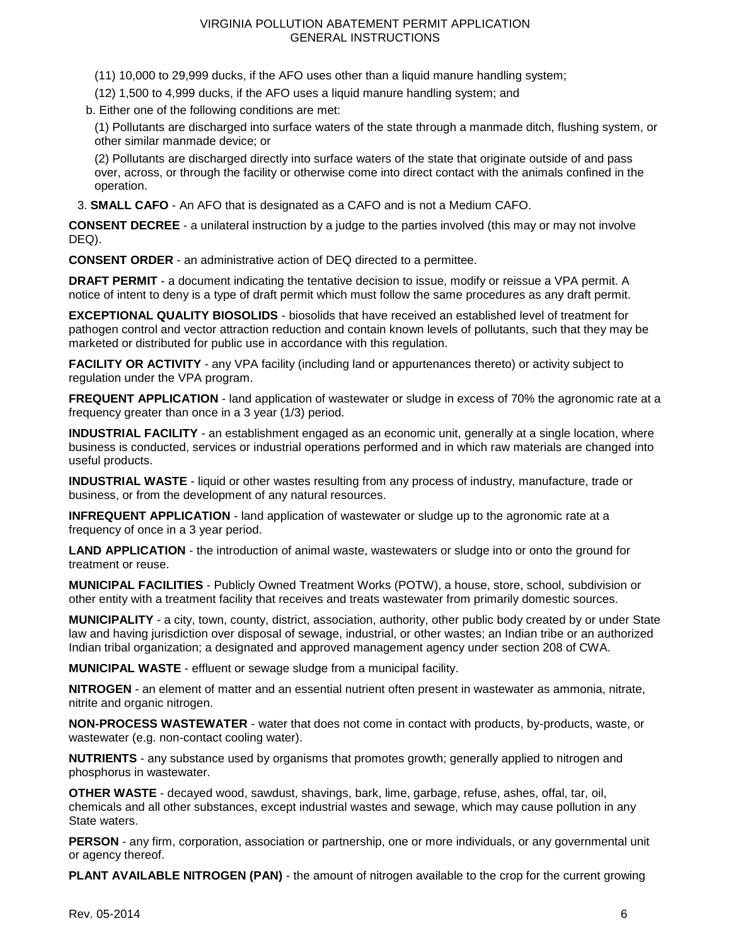- (11) 10,000 to 29,999 ducks, if the AFO uses other than a liquid manure handling system;
- (12) 1,500 to 4,999 ducks, if the AFO uses a liquid manure handling system; and
- b. Either one of the following conditions are met:

(1) Pollutants are discharged into surface waters of the state through a manmade ditch, flushing system, or other similar manmade device; or

(2) Pollutants are discharged directly into surface waters of the state that originate outside of and pass over, across, or through the facility or otherwise come into direct contact with the animals confined in the operation.

3. **SMALL CAFO** - An AFO that is designated as a CAFO and is not a Medium CAFO.

**CONSENT DECREE** - a unilateral instruction by a judge to the parties involved (this may or may not involve DEQ).

**CONSENT ORDER** - an administrative action of DEQ directed to a permittee.

**DRAFT PERMIT** - a document indicating the tentative decision to issue, modify or reissue a VPA permit. A notice of intent to deny is a type of draft permit which must follow the same procedures as any draft permit.

**EXCEPTIONAL QUALITY BIOSOLIDS** - biosolids that have received an established level of treatment for pathogen control and vector attraction reduction and contain known levels of pollutants, such that they may be marketed or distributed for public use in accordance with this regulation.

**FACILITY OR ACTIVITY** - any VPA facility (including land or appurtenances thereto) or activity subject to regulation under the VPA program.

**FREQUENT APPLICATION** - land application of wastewater or sludge in excess of 70% the agronomic rate at a frequency greater than once in a 3 year (1/3) period.

**INDUSTRIAL FACILITY** - an establishment engaged as an economic unit, generally at a single location, where business is conducted, services or industrial operations performed and in which raw materials are changed into useful products.

**INDUSTRIAL WASTE** - liquid or other wastes resulting from any process of industry, manufacture, trade or business, or from the development of any natural resources.

**INFREQUENT APPLICATION** - land application of wastewater or sludge up to the agronomic rate at a frequency of once in a 3 year period.

**LAND APPLICATION** - the introduction of animal waste, wastewaters or sludge into or onto the ground for treatment or reuse.

**MUNICIPAL FACILITIES** - Publicly Owned Treatment Works (POTW), a house, store, school, subdivision or other entity with a treatment facility that receives and treats wastewater from primarily domestic sources.

**MUNICIPALITY** - a city, town, county, district, association, authority, other public body created by or under State law and having jurisdiction over disposal of sewage, industrial, or other wastes; an Indian tribe or an authorized Indian tribal organization; a designated and approved management agency under section 208 of CWA.

**MUNICIPAL WASTE** - effluent or sewage sludge from a municipal facility.

**NITROGEN** - an element of matter and an essential nutrient often present in wastewater as ammonia, nitrate, nitrite and organic nitrogen.

**NON-PROCESS WASTEWATER** - water that does not come in contact with products, by-products, waste, or wastewater (e.g. non-contact cooling water).

**NUTRIENTS** - any substance used by organisms that promotes growth; generally applied to nitrogen and phosphorus in wastewater.

**OTHER WASTE** - decayed wood, sawdust, shavings, bark, lime, garbage, refuse, ashes, offal, tar, oil, chemicals and all other substances, except industrial wastes and sewage, which may cause pollution in any State waters.

**PERSON** - any firm, corporation, association or partnership, one or more individuals, or any governmental unit or agency thereof.

**PLANT AVAILABLE NITROGEN (PAN)** - the amount of nitrogen available to the crop for the current growing